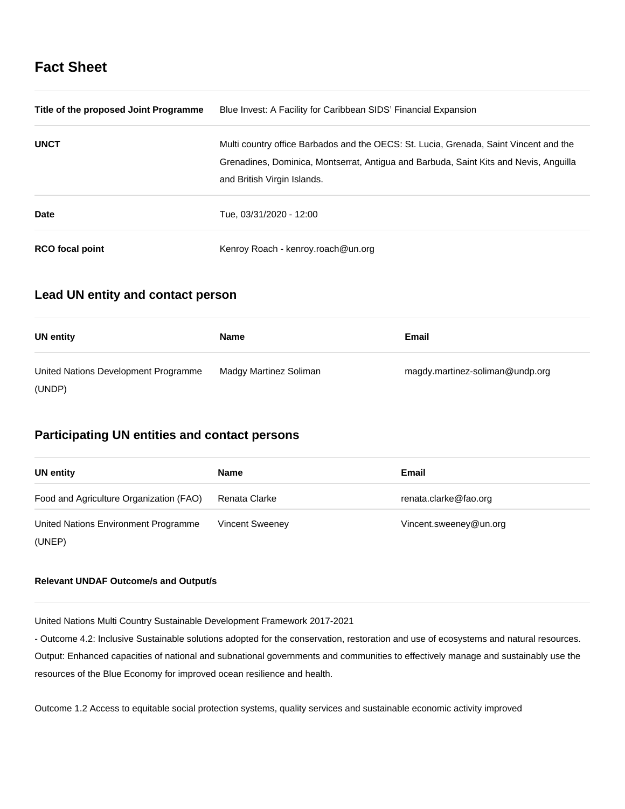# **Fact Sheet**

| Title of the proposed Joint Programme | Blue Invest: A Facility for Caribbean SIDS' Financial Expansion                                                                                                                                               |  |
|---------------------------------------|---------------------------------------------------------------------------------------------------------------------------------------------------------------------------------------------------------------|--|
| <b>UNCT</b>                           | Multi country office Barbados and the OECS: St. Lucia, Grenada, Saint Vincent and the<br>Grenadines, Dominica, Montserrat, Antigua and Barbuda, Saint Kits and Nevis, Anguilla<br>and British Virgin Islands. |  |
| Date                                  | Tue. 03/31/2020 - 12:00                                                                                                                                                                                       |  |
| <b>RCO</b> focal point                | Kenroy Roach - kenroy.roach@un.org                                                                                                                                                                            |  |

## **Lead UN entity and contact person**

| UN entity                            | Name                   | Email                           |
|--------------------------------------|------------------------|---------------------------------|
| United Nations Development Programme | Madgy Martinez Soliman | magdy.martinez-soliman@undp.org |
| (UNDP)                               |                        |                                 |

## **Participating UN entities and contact persons**

| <b>UN</b> entity                               | <b>Name</b>            | Email                  |
|------------------------------------------------|------------------------|------------------------|
| Food and Agriculture Organization (FAO)        | Renata Clarke          | renata.clarke@fao.org  |
| United Nations Environment Programme<br>(UNEP) | <b>Vincent Sweeney</b> | Vincent.sweeney@un.org |

## **Relevant UNDAF Outcome/s and Output/s**

United Nations Multi Country Sustainable Development Framework 2017-2021

- Outcome 4.2: Inclusive Sustainable solutions adopted for the conservation, restoration and use of ecosystems and natural resources. Output: Enhanced capacities of national and subnational governments and communities to effectively manage and sustainably use the resources of the Blue Economy for improved ocean resilience and health.

Outcome 1.2 Access to equitable social protection systems, quality services and sustainable economic activity improved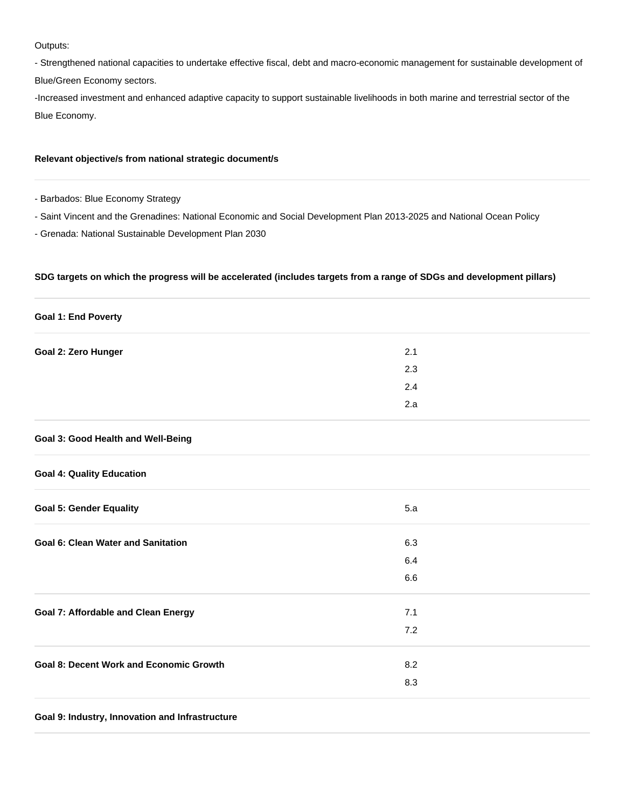Outputs:

- Strengthened national capacities to undertake effective fiscal, debt and macro-economic management for sustainable development of Blue/Green Economy sectors.

-Increased investment and enhanced adaptive capacity to support sustainable livelihoods in both marine and terrestrial sector of the Blue Economy.

## **Relevant objective/s from national strategic document/s**

- Barbados: Blue Economy Strategy

- Saint Vincent and the Grenadines: National Economic and Social Development Plan 2013-2025 and National Ocean Policy

- Grenada: National Sustainable Development Plan 2030

## **SDG targets on which the progress will be accelerated (includes targets from a range of SDGs and development pillars)**

| <b>Goal 1: End Poverty</b>                     |         |  |
|------------------------------------------------|---------|--|
| Goal 2: Zero Hunger                            | 2.1     |  |
|                                                | 2.3     |  |
|                                                | 2.4     |  |
|                                                | 2.a     |  |
| Goal 3: Good Health and Well-Being             |         |  |
| <b>Goal 4: Quality Education</b>               |         |  |
| <b>Goal 5: Gender Equality</b>                 | 5.a     |  |
| <b>Goal 6: Clean Water and Sanitation</b>      | 6.3     |  |
|                                                | 6.4     |  |
|                                                | $6.6\,$ |  |
| <b>Goal 7: Affordable and Clean Energy</b>     | 7.1     |  |
|                                                | 7.2     |  |
| <b>Goal 8: Decent Work and Economic Growth</b> | 8.2     |  |
|                                                | 8.3     |  |
|                                                |         |  |

## **Goal 9: Industry, Innovation and Infrastructure**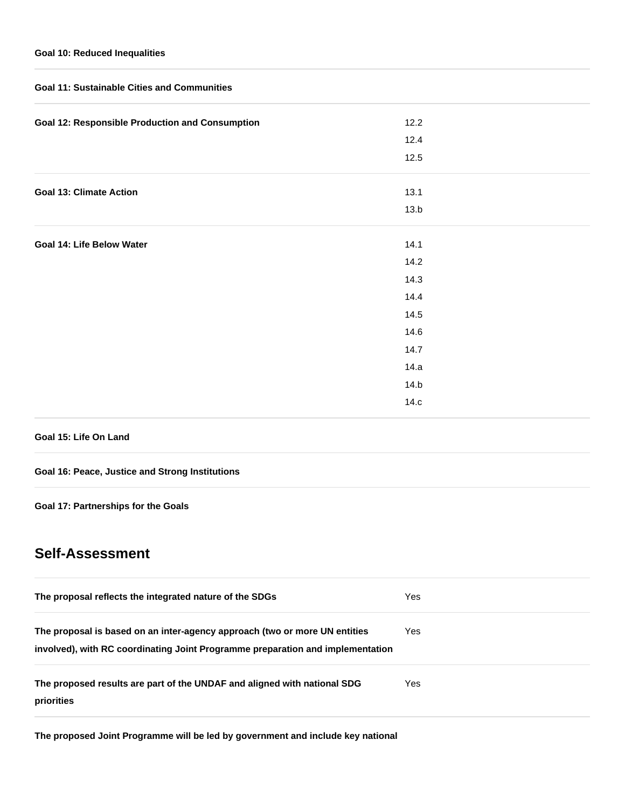## **Goal 10: Reduced Inequalities**

| <b>Goal 11: Sustainable Cities and Communities</b>     |      |  |  |
|--------------------------------------------------------|------|--|--|
| <b>Goal 12: Responsible Production and Consumption</b> | 12.2 |  |  |
|                                                        | 12.4 |  |  |
|                                                        | 12.5 |  |  |
| <b>Goal 13: Climate Action</b>                         | 13.1 |  |  |
|                                                        | 13.b |  |  |
| Goal 14: Life Below Water                              | 14.1 |  |  |
|                                                        | 14.2 |  |  |
|                                                        | 14.3 |  |  |
|                                                        | 14.4 |  |  |
|                                                        | 14.5 |  |  |
|                                                        | 14.6 |  |  |
|                                                        | 14.7 |  |  |
|                                                        | 14.a |  |  |
|                                                        | 14.b |  |  |
|                                                        | 14.c |  |  |
|                                                        |      |  |  |

## **Goal 15: Life On Land**

## **Goal 16: Peace, Justice and Strong Institutions**

**Goal 17: Partnerships for the Goals**

# **Self-Assessment**

| The proposal reflects the integrated nature of the SDGs                                                                                                      | Yes |
|--------------------------------------------------------------------------------------------------------------------------------------------------------------|-----|
| The proposal is based on an inter-agency approach (two or more UN entities<br>involved), with RC coordinating Joint Programme preparation and implementation | Yes |
| The proposed results are part of the UNDAF and aligned with national SDG<br>priorities                                                                       | Yes |

**The proposed Joint Programme will be led by government and include key national**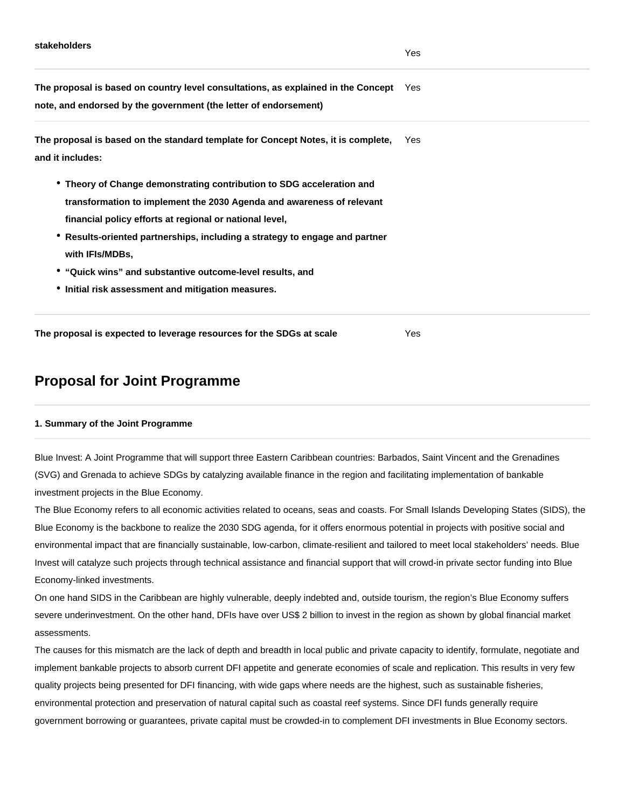**The proposal is based on country level consultations, as explained in the Concept note, and endorsed by the government (the letter of endorsement)** Yes

**The proposal is based on the standard template for Concept Notes, it is complete, and it includes:**  Yes

- **Theory of Change demonstrating contribution to SDG acceleration and transformation to implement the 2030 Agenda and awareness of relevant financial policy efforts at regional or national level,**
- **Results-oriented partnerships, including a strategy to engage and partner with IFIs/MDBs,**
- **"Quick wins" and substantive outcome-level results, and**
- **Initial risk assessment and mitigation measures.**

**The proposal is expected to leverage resources for the SDGs at scale** Yes

## **Proposal for Joint Programme**

## **1. Summary of the Joint Programme**

Blue Invest: A Joint Programme that will support three Eastern Caribbean countries: Barbados, Saint Vincent and the Grenadines (SVG) and Grenada to achieve SDGs by catalyzing available finance in the region and facilitating implementation of bankable investment projects in the Blue Economy.

The Blue Economy refers to all economic activities related to oceans, seas and coasts. For Small Islands Developing States (SIDS), the Blue Economy is the backbone to realize the 2030 SDG agenda, for it offers enormous potential in projects with positive social and environmental impact that are financially sustainable, low-carbon, climate-resilient and tailored to meet local stakeholders' needs. Blue Invest will catalyze such projects through technical assistance and financial support that will crowd-in private sector funding into Blue Economy-linked investments.

On one hand SIDS in the Caribbean are highly vulnerable, deeply indebted and, outside tourism, the region's Blue Economy suffers severe underinvestment. On the other hand, DFIs have over US\$ 2 billion to invest in the region as shown by global financial market assessments.

The causes for this mismatch are the lack of depth and breadth in local public and private capacity to identify, formulate, negotiate and implement bankable projects to absorb current DFI appetite and generate economies of scale and replication. This results in very few quality projects being presented for DFI financing, with wide gaps where needs are the highest, such as sustainable fisheries, environmental protection and preservation of natural capital such as coastal reef systems. Since DFI funds generally require government borrowing or guarantees, private capital must be crowded-in to complement DFI investments in Blue Economy sectors.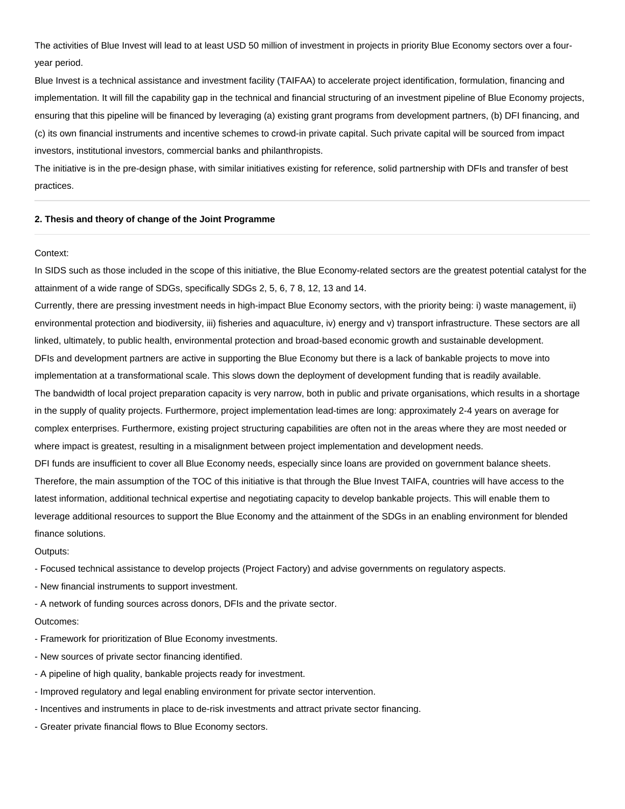The activities of Blue Invest will lead to at least USD 50 million of investment in projects in priority Blue Economy sectors over a fouryear period.

Blue Invest is a technical assistance and investment facility (TAIFAA) to accelerate project identification, formulation, financing and implementation. It will fill the capability gap in the technical and financial structuring of an investment pipeline of Blue Economy projects, ensuring that this pipeline will be financed by leveraging (a) existing grant programs from development partners, (b) DFI financing, and (c) its own financial instruments and incentive schemes to crowd-in private capital. Such private capital will be sourced from impact investors, institutional investors, commercial banks and philanthropists.

The initiative is in the pre-design phase, with similar initiatives existing for reference, solid partnership with DFIs and transfer of best practices.

#### **2. Thesis and theory of change of the Joint Programme**

#### Context:

In SIDS such as those included in the scope of this initiative, the Blue Economy-related sectors are the greatest potential catalyst for the attainment of a wide range of SDGs, specifically SDGs 2, 5, 6, 7 8, 12, 13 and 14.

Currently, there are pressing investment needs in high-impact Blue Economy sectors, with the priority being: i) waste management, ii) environmental protection and biodiversity, iii) fisheries and aquaculture, iv) energy and v) transport infrastructure. These sectors are all linked, ultimately, to public health, environmental protection and broad-based economic growth and sustainable development. DFIs and development partners are active in supporting the Blue Economy but there is a lack of bankable projects to move into implementation at a transformational scale. This slows down the deployment of development funding that is readily available. The bandwidth of local project preparation capacity is very narrow, both in public and private organisations, which results in a shortage in the supply of quality projects. Furthermore, project implementation lead-times are long: approximately 2-4 years on average for complex enterprises. Furthermore, existing project structuring capabilities are often not in the areas where they are most needed or where impact is greatest, resulting in a misalignment between project implementation and development needs. DFI funds are insufficient to cover all Blue Economy needs, especially since loans are provided on government balance sheets. Therefore, the main assumption of the TOC of this initiative is that through the Blue Invest TAIFA, countries will have access to the latest information, additional technical expertise and negotiating capacity to develop bankable projects. This will enable them to leverage additional resources to support the Blue Economy and the attainment of the SDGs in an enabling environment for blended finance solutions.

Outputs:

- Focused technical assistance to develop projects (Project Factory) and advise governments on regulatory aspects.

- New financial instruments to support investment.

- A network of funding sources across donors, DFIs and the private sector.

#### Outcomes:

- Framework for prioritization of Blue Economy investments.
- New sources of private sector financing identified.
- A pipeline of high quality, bankable projects ready for investment.
- Improved regulatory and legal enabling environment for private sector intervention.
- Incentives and instruments in place to de-risk investments and attract private sector financing.
- Greater private financial flows to Blue Economy sectors.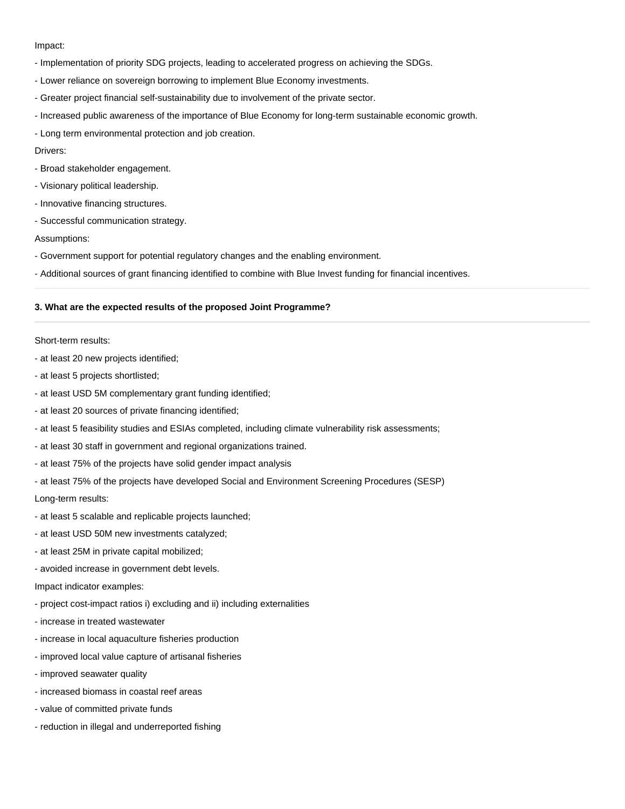## Impact:

- Implementation of priority SDG projects, leading to accelerated progress on achieving the SDGs.
- Lower reliance on sovereign borrowing to implement Blue Economy investments.
- Greater project financial self-sustainability due to involvement of the private sector.
- Increased public awareness of the importance of Blue Economy for long-term sustainable economic growth.
- Long term environmental protection and job creation.

Drivers:

- Broad stakeholder engagement.
- Visionary political leadership.
- Innovative financing structures.
- Successful communication strategy.

#### Assumptions:

- Government support for potential regulatory changes and the enabling environment.
- Additional sources of grant financing identified to combine with Blue Invest funding for financial incentives.

## **3. What are the expected results of the proposed Joint Programme?**

#### Short-term results:

- at least 20 new projects identified;
- at least 5 projects shortlisted;
- at least USD 5M complementary grant funding identified;
- at least 20 sources of private financing identified;
- at least 5 feasibility studies and ESIAs completed, including climate vulnerability risk assessments;
- at least 30 staff in government and regional organizations trained.
- at least 75% of the projects have solid gender impact analysis
- at least 75% of the projects have developed Social and Environment Screening Procedures (SESP)

Long-term results:

- at least 5 scalable and replicable projects launched;
- at least USD 50M new investments catalyzed;
- at least 25M in private capital mobilized;
- avoided increase in government debt levels.

Impact indicator examples:

- project cost-impact ratios i) excluding and ii) including externalities
- increase in treated wastewater
- increase in local aquaculture fisheries production
- improved local value capture of artisanal fisheries
- improved seawater quality
- increased biomass in coastal reef areas
- value of committed private funds
- reduction in illegal and underreported fishing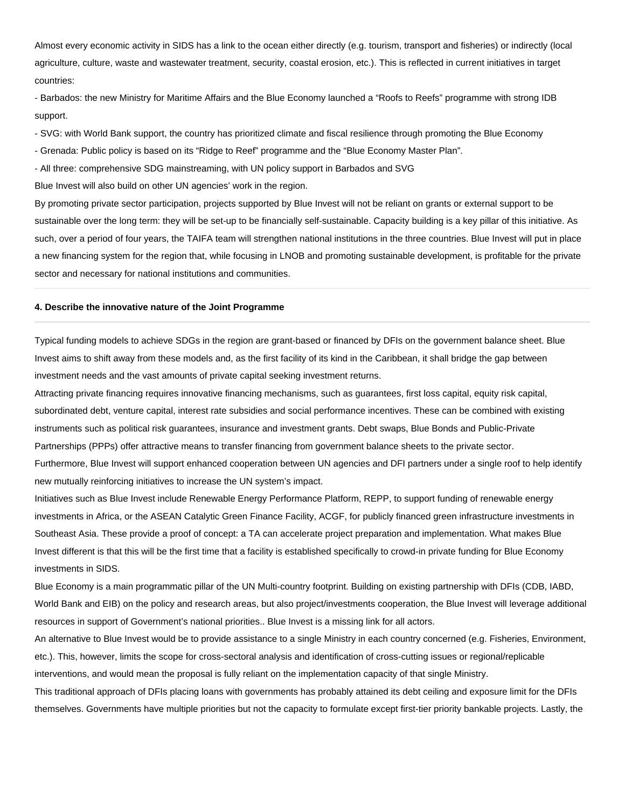Almost every economic activity in SIDS has a link to the ocean either directly (e.g. tourism, transport and fisheries) or indirectly (local agriculture, culture, waste and wastewater treatment, security, coastal erosion, etc.). This is reflected in current initiatives in target countries:

- Barbados: the new Ministry for Maritime Affairs and the Blue Economy launched a "Roofs to Reefs" programme with strong IDB support.

- SVG: with World Bank support, the country has prioritized climate and fiscal resilience through promoting the Blue Economy

- Grenada: Public policy is based on its "Ridge to Reef" programme and the "Blue Economy Master Plan".

- All three: comprehensive SDG mainstreaming, with UN policy support in Barbados and SVG

Blue Invest will also build on other UN agencies' work in the region.

By promoting private sector participation, projects supported by Blue Invest will not be reliant on grants or external support to be sustainable over the long term: they will be set-up to be financially self-sustainable. Capacity building is a key pillar of this initiative. As such, over a period of four years, the TAIFA team will strengthen national institutions in the three countries. Blue Invest will put in place a new financing system for the region that, while focusing in LNOB and promoting sustainable development, is profitable for the private sector and necessary for national institutions and communities.

#### **4. Describe the innovative nature of the Joint Programme**

Typical funding models to achieve SDGs in the region are grant-based or financed by DFIs on the government balance sheet. Blue Invest aims to shift away from these models and, as the first facility of its kind in the Caribbean, it shall bridge the gap between investment needs and the vast amounts of private capital seeking investment returns.

Attracting private financing requires innovative financing mechanisms, such as guarantees, first loss capital, equity risk capital, subordinated debt, venture capital, interest rate subsidies and social performance incentives. These can be combined with existing instruments such as political risk guarantees, insurance and investment grants. Debt swaps, Blue Bonds and Public-Private Partnerships (PPPs) offer attractive means to transfer financing from government balance sheets to the private sector. Furthermore, Blue Invest will support enhanced cooperation between UN agencies and DFI partners under a single roof to help identify new mutually reinforcing initiatives to increase the UN system's impact.

Initiatives such as Blue Invest include Renewable Energy Performance Platform, REPP, to support funding of renewable energy investments in Africa, or the ASEAN Catalytic Green Finance Facility, ACGF, for publicly financed green infrastructure investments in Southeast Asia. These provide a proof of concept: a TA can accelerate project preparation and implementation. What makes Blue Invest different is that this will be the first time that a facility is established specifically to crowd-in private funding for Blue Economy investments in SIDS.

Blue Economy is a main programmatic pillar of the UN Multi-country footprint. Building on existing partnership with DFIs (CDB, IABD, World Bank and EIB) on the policy and research areas, but also project/investments cooperation, the Blue Invest will leverage additional resources in support of Government's national priorities.. Blue Invest is a missing link for all actors.

An alternative to Blue Invest would be to provide assistance to a single Ministry in each country concerned (e.g. Fisheries, Environment, etc.). This, however, limits the scope for cross-sectoral analysis and identification of cross-cutting issues or regional/replicable interventions, and would mean the proposal is fully reliant on the implementation capacity of that single Ministry.

This traditional approach of DFIs placing loans with governments has probably attained its debt ceiling and exposure limit for the DFIs themselves. Governments have multiple priorities but not the capacity to formulate except first-tier priority bankable projects. Lastly, the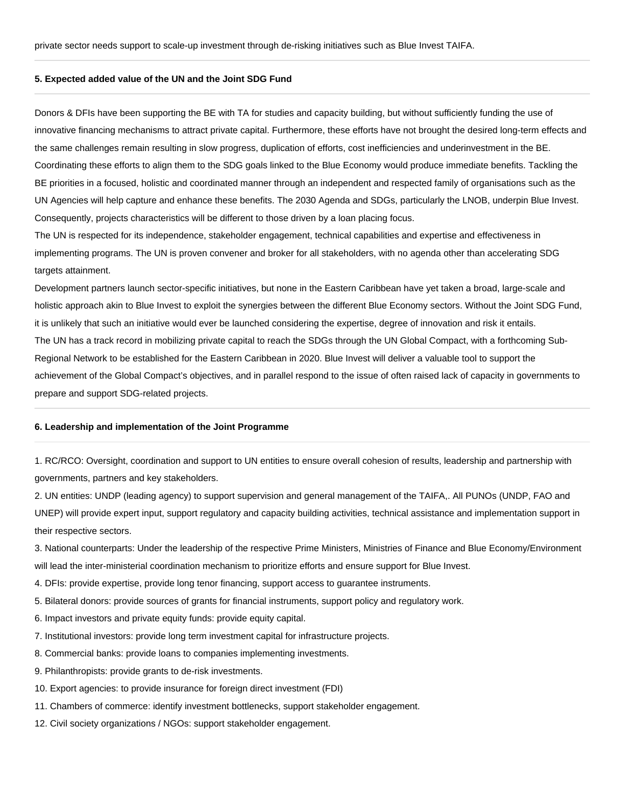## **5. Expected added value of the UN and the Joint SDG Fund**

Donors & DFIs have been supporting the BE with TA for studies and capacity building, but without sufficiently funding the use of innovative financing mechanisms to attract private capital. Furthermore, these efforts have not brought the desired long-term effects and the same challenges remain resulting in slow progress, duplication of efforts, cost inefficiencies and underinvestment in the BE. Coordinating these efforts to align them to the SDG goals linked to the Blue Economy would produce immediate benefits. Tackling the BE priorities in a focused, holistic and coordinated manner through an independent and respected family of organisations such as the UN Agencies will help capture and enhance these benefits. The 2030 Agenda and SDGs, particularly the LNOB, underpin Blue Invest. Consequently, projects characteristics will be different to those driven by a loan placing focus.

The UN is respected for its independence, stakeholder engagement, technical capabilities and expertise and effectiveness in implementing programs. The UN is proven convener and broker for all stakeholders, with no agenda other than accelerating SDG targets attainment.

Development partners launch sector-specific initiatives, but none in the Eastern Caribbean have yet taken a broad, large-scale and holistic approach akin to Blue Invest to exploit the synergies between the different Blue Economy sectors. Without the Joint SDG Fund, it is unlikely that such an initiative would ever be launched considering the expertise, degree of innovation and risk it entails. The UN has a track record in mobilizing private capital to reach the SDGs through the UN Global Compact, with a forthcoming Sub-Regional Network to be established for the Eastern Caribbean in 2020. Blue Invest will deliver a valuable tool to support the achievement of the Global Compact's objectives, and in parallel respond to the issue of often raised lack of capacity in governments to prepare and support SDG-related projects.

#### **6. Leadership and implementation of the Joint Programme**

1. RC/RCO: Oversight, coordination and support to UN entities to ensure overall cohesion of results, leadership and partnership with governments, partners and key stakeholders.

2. UN entities: UNDP (leading agency) to support supervision and general management of the TAIFA,. All PUNOs (UNDP, FAO and UNEP) will provide expert input, support regulatory and capacity building activities, technical assistance and implementation support in their respective sectors.

3. National counterparts: Under the leadership of the respective Prime Ministers, Ministries of Finance and Blue Economy/Environment will lead the inter-ministerial coordination mechanism to prioritize efforts and ensure support for Blue Invest.

4. DFIs: provide expertise, provide long tenor financing, support access to guarantee instruments.

- 5. Bilateral donors: provide sources of grants for financial instruments, support policy and regulatory work.
- 6. Impact investors and private equity funds: provide equity capital.
- 7. Institutional investors: provide long term investment capital for infrastructure projects.
- 8. Commercial banks: provide loans to companies implementing investments.
- 9. Philanthropists: provide grants to de-risk investments.
- 10. Export agencies: to provide insurance for foreign direct investment (FDI)
- 11. Chambers of commerce: identify investment bottlenecks, support stakeholder engagement.
- 12. Civil society organizations / NGOs: support stakeholder engagement.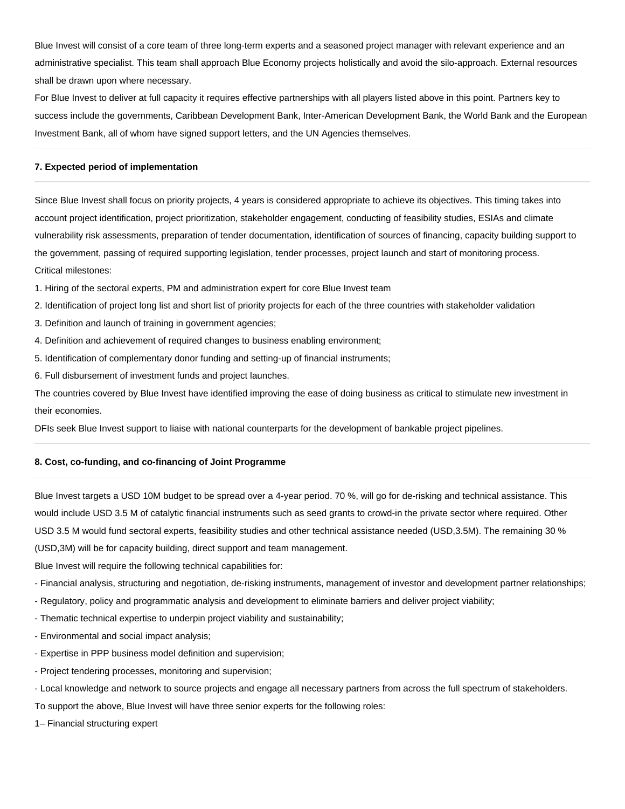Blue Invest will consist of a core team of three long-term experts and a seasoned project manager with relevant experience and an administrative specialist. This team shall approach Blue Economy projects holistically and avoid the silo-approach. External resources shall be drawn upon where necessary.

For Blue Invest to deliver at full capacity it requires effective partnerships with all players listed above in this point. Partners key to success include the governments, Caribbean Development Bank, Inter-American Development Bank, the World Bank and the European Investment Bank, all of whom have signed support letters, and the UN Agencies themselves.

## **7. Expected period of implementation**

Since Blue Invest shall focus on priority projects, 4 years is considered appropriate to achieve its objectives. This timing takes into account project identification, project prioritization, stakeholder engagement, conducting of feasibility studies, ESIAs and climate vulnerability risk assessments, preparation of tender documentation, identification of sources of financing, capacity building support to the government, passing of required supporting legislation, tender processes, project launch and start of monitoring process. Critical milestones:

- 1. Hiring of the sectoral experts, PM and administration expert for core Blue Invest team
- 2. Identification of project long list and short list of priority projects for each of the three countries with stakeholder validation
- 3. Definition and launch of training in government agencies;
- 4. Definition and achievement of required changes to business enabling environment;
- 5. Identification of complementary donor funding and setting-up of financial instruments;
- 6. Full disbursement of investment funds and project launches.

The countries covered by Blue Invest have identified improving the ease of doing business as critical to stimulate new investment in their economies.

DFIs seek Blue Invest support to liaise with national counterparts for the development of bankable project pipelines.

## **8. Cost, co-funding, and co-financing of Joint Programme**

Blue Invest targets a USD 10M budget to be spread over a 4-year period. 70 %, will go for de-risking and technical assistance. This would include USD 3.5 M of catalytic financial instruments such as seed grants to crowd-in the private sector where required. Other USD 3.5 M would fund sectoral experts, feasibility studies and other technical assistance needed (USD,3.5M). The remaining 30 % (USD,3M) will be for capacity building, direct support and team management.

Blue Invest will require the following technical capabilities for:

- Financial analysis, structuring and negotiation, de-risking instruments, management of investor and development partner relationships;
- Regulatory, policy and programmatic analysis and development to eliminate barriers and deliver project viability;
- Thematic technical expertise to underpin project viability and sustainability;
- Environmental and social impact analysis;
- Expertise in PPP business model definition and supervision;
- Project tendering processes, monitoring and supervision;
- Local knowledge and network to source projects and engage all necessary partners from across the full spectrum of stakeholders.
- To support the above, Blue Invest will have three senior experts for the following roles:
- 1– Financial structuring expert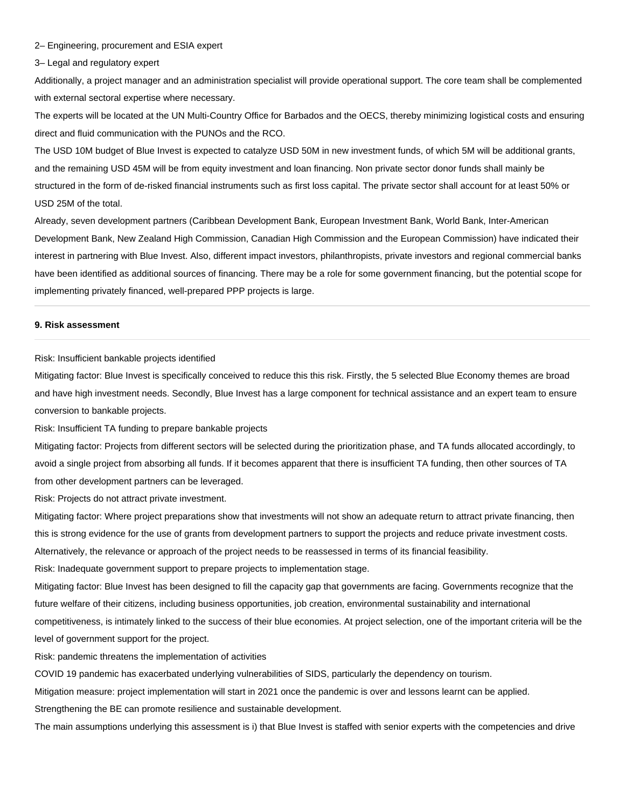#### 2– Engineering, procurement and ESIA expert

3– Legal and regulatory expert

Additionally, a project manager and an administration specialist will provide operational support. The core team shall be complemented with external sectoral expertise where necessary.

The experts will be located at the UN Multi-Country Office for Barbados and the OECS, thereby minimizing logistical costs and ensuring direct and fluid communication with the PUNOs and the RCO.

The USD 10M budget of Blue Invest is expected to catalyze USD 50M in new investment funds, of which 5M will be additional grants, and the remaining USD 45M will be from equity investment and loan financing. Non private sector donor funds shall mainly be structured in the form of de-risked financial instruments such as first loss capital. The private sector shall account for at least 50% or USD 25M of the total.

Already, seven development partners (Caribbean Development Bank, European Investment Bank, World Bank, Inter-American Development Bank, New Zealand High Commission, Canadian High Commission and the European Commission) have indicated their interest in partnering with Blue Invest. Also, different impact investors, philanthropists, private investors and regional commercial banks have been identified as additional sources of financing. There may be a role for some government financing, but the potential scope for implementing privately financed, well-prepared PPP projects is large.

#### **9. Risk assessment**

Risk: Insufficient bankable projects identified

Mitigating factor: Blue Invest is specifically conceived to reduce this this risk. Firstly, the 5 selected Blue Economy themes are broad and have high investment needs. Secondly, Blue Invest has a large component for technical assistance and an expert team to ensure conversion to bankable projects.

Risk: Insufficient TA funding to prepare bankable projects

Mitigating factor: Projects from different sectors will be selected during the prioritization phase, and TA funds allocated accordingly, to avoid a single project from absorbing all funds. If it becomes apparent that there is insufficient TA funding, then other sources of TA from other development partners can be leveraged.

Risk: Projects do not attract private investment.

Mitigating factor: Where project preparations show that investments will not show an adequate return to attract private financing, then this is strong evidence for the use of grants from development partners to support the projects and reduce private investment costs. Alternatively, the relevance or approach of the project needs to be reassessed in terms of its financial feasibility.

Risk: Inadequate government support to prepare projects to implementation stage.

Mitigating factor: Blue Invest has been designed to fill the capacity gap that governments are facing. Governments recognize that the future welfare of their citizens, including business opportunities, job creation, environmental sustainability and international competitiveness, is intimately linked to the success of their blue economies. At project selection, one of the important criteria will be the level of government support for the project.

Risk: pandemic threatens the implementation of activities

COVID 19 pandemic has exacerbated underlying vulnerabilities of SIDS, particularly the dependency on tourism.

Mitigation measure: project implementation will start in 2021 once the pandemic is over and lessons learnt can be applied.

Strengthening the BE can promote resilience and sustainable development.

The main assumptions underlying this assessment is i) that Blue Invest is staffed with senior experts with the competencies and drive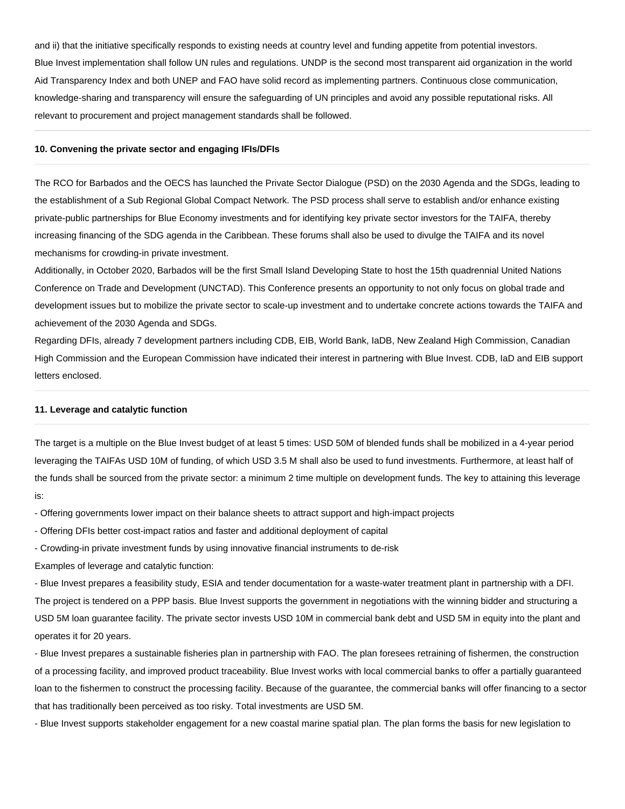and ii) that the initiative specifically responds to existing needs at country level and funding appetite from potential investors. Blue Invest implementation shall follow UN rules and regulations. UNDP is the second most transparent aid organization in the world Aid Transparency Index and both UNEP and FAO have solid record as implementing partners. Continuous close communication, knowledge-sharing and transparency will ensure the safeguarding of UN principles and avoid any possible reputational risks. All relevant to procurement and project management standards shall be followed.

#### **10. Convening the private sector and engaging IFIs/DFIs**

The RCO for Barbados and the OECS has launched the Private Sector Dialogue (PSD) on the 2030 Agenda and the SDGs, leading to the establishment of a Sub Regional Global Compact Network. The PSD process shall serve to establish and/or enhance existing private-public partnerships for Blue Economy investments and for identifying key private sector investors for the TAIFA, thereby increasing financing of the SDG agenda in the Caribbean. These forums shall also be used to divulge the TAIFA and its novel mechanisms for crowding-in private investment.

Additionally, in October 2020, Barbados will be the first Small Island Developing State to host the 15th quadrennial United Nations Conference on Trade and Development (UNCTAD). This Conference presents an opportunity to not only focus on global trade and development issues but to mobilize the private sector to scale-up investment and to undertake concrete actions towards the TAIFA and achievement of the 2030 Agenda and SDGs.

Regarding DFIs, already 7 development partners including CDB, EIB, World Bank, IaDB, New Zealand High Commission, Canadian High Commission and the European Commission have indicated their interest in partnering with Blue Invest. CDB, IaD and EIB support letters enclosed.

## **11. Leverage and catalytic function**

The target is a multiple on the Blue Invest budget of at least 5 times: USD 50M of blended funds shall be mobilized in a 4-year period leveraging the TAIFAs USD 10M of funding, of which USD 3.5 M shall also be used to fund investments. Furthermore, at least half of the funds shall be sourced from the private sector: a minimum 2 time multiple on development funds. The key to attaining this leverage is:

- Offering governments lower impact on their balance sheets to attract support and high-impact projects

- Offering DFIs better cost-impact ratios and faster and additional deployment of capital

- Crowding-in private investment funds by using innovative financial instruments to de-risk

Examples of leverage and catalytic function:

- Blue Invest prepares a feasibility study, ESIA and tender documentation for a waste-water treatment plant in partnership with a DFI. The project is tendered on a PPP basis. Blue Invest supports the government in negotiations with the winning bidder and structuring a USD 5M loan guarantee facility. The private sector invests USD 10M in commercial bank debt and USD 5M in equity into the plant and operates it for 20 years.

- Blue Invest prepares a sustainable fisheries plan in partnership with FAO. The plan foresees retraining of fishermen, the construction of a processing facility, and improved product traceability. Blue Invest works with local commercial banks to offer a partially guaranteed loan to the fishermen to construct the processing facility. Because of the guarantee, the commercial banks will offer financing to a sector that has traditionally been perceived as too risky. Total investments are USD 5M.

- Blue Invest supports stakeholder engagement for a new coastal marine spatial plan. The plan forms the basis for new legislation to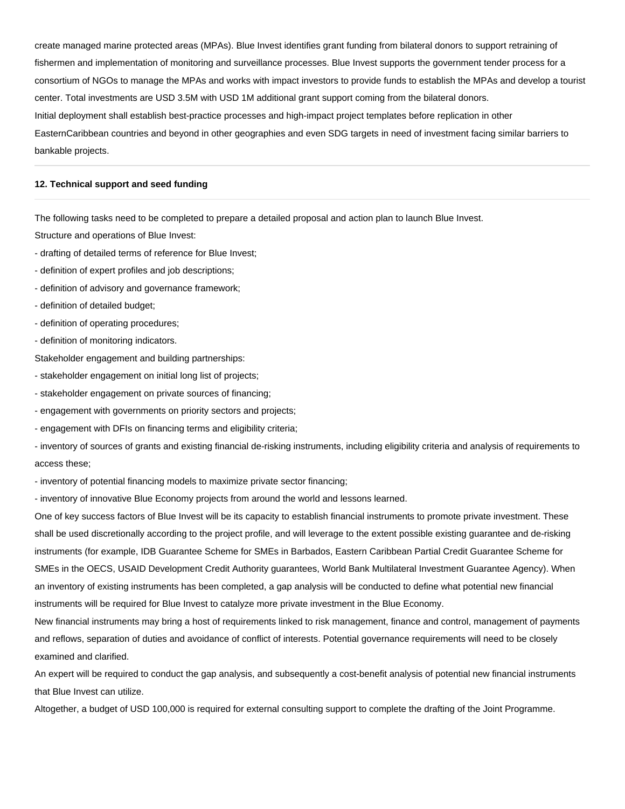create managed marine protected areas (MPAs). Blue Invest identifies grant funding from bilateral donors to support retraining of fishermen and implementation of monitoring and surveillance processes. Blue Invest supports the government tender process for a consortium of NGOs to manage the MPAs and works with impact investors to provide funds to establish the MPAs and develop a tourist center. Total investments are USD 3.5M with USD 1M additional grant support coming from the bilateral donors. Initial deployment shall establish best-practice processes and high-impact project templates before replication in other EasternCaribbean countries and beyond in other geographies and even SDG targets in need of investment facing similar barriers to bankable projects.

## **12. Technical support and seed funding**

The following tasks need to be completed to prepare a detailed proposal and action plan to launch Blue Invest.

Structure and operations of Blue Invest:

- drafting of detailed terms of reference for Blue Invest;
- definition of expert profiles and job descriptions;
- definition of advisory and governance framework;
- definition of detailed budget;
- definition of operating procedures;
- definition of monitoring indicators.

Stakeholder engagement and building partnerships:

- stakeholder engagement on initial long list of projects;
- stakeholder engagement on private sources of financing;
- engagement with governments on priority sectors and projects;
- engagement with DFIs on financing terms and eligibility criteria;

- inventory of sources of grants and existing financial de-risking instruments, including eligibility criteria and analysis of requirements to access these;

- inventory of potential financing models to maximize private sector financing;

- inventory of innovative Blue Economy projects from around the world and lessons learned.

One of key success factors of Blue Invest will be its capacity to establish financial instruments to promote private investment. These shall be used discretionally according to the project profile, and will leverage to the extent possible existing guarantee and de-risking instruments (for example, IDB Guarantee Scheme for SMEs in Barbados, Eastern Caribbean Partial Credit Guarantee Scheme for SMEs in the OECS, USAID Development Credit Authority guarantees, World Bank Multilateral Investment Guarantee Agency). When an inventory of existing instruments has been completed, a gap analysis will be conducted to define what potential new financial instruments will be required for Blue Invest to catalyze more private investment in the Blue Economy.

New financial instruments may bring a host of requirements linked to risk management, finance and control, management of payments and reflows, separation of duties and avoidance of conflict of interests. Potential governance requirements will need to be closely examined and clarified.

An expert will be required to conduct the gap analysis, and subsequently a cost-benefit analysis of potential new financial instruments that Blue Invest can utilize.

Altogether, a budget of USD 100,000 is required for external consulting support to complete the drafting of the Joint Programme.